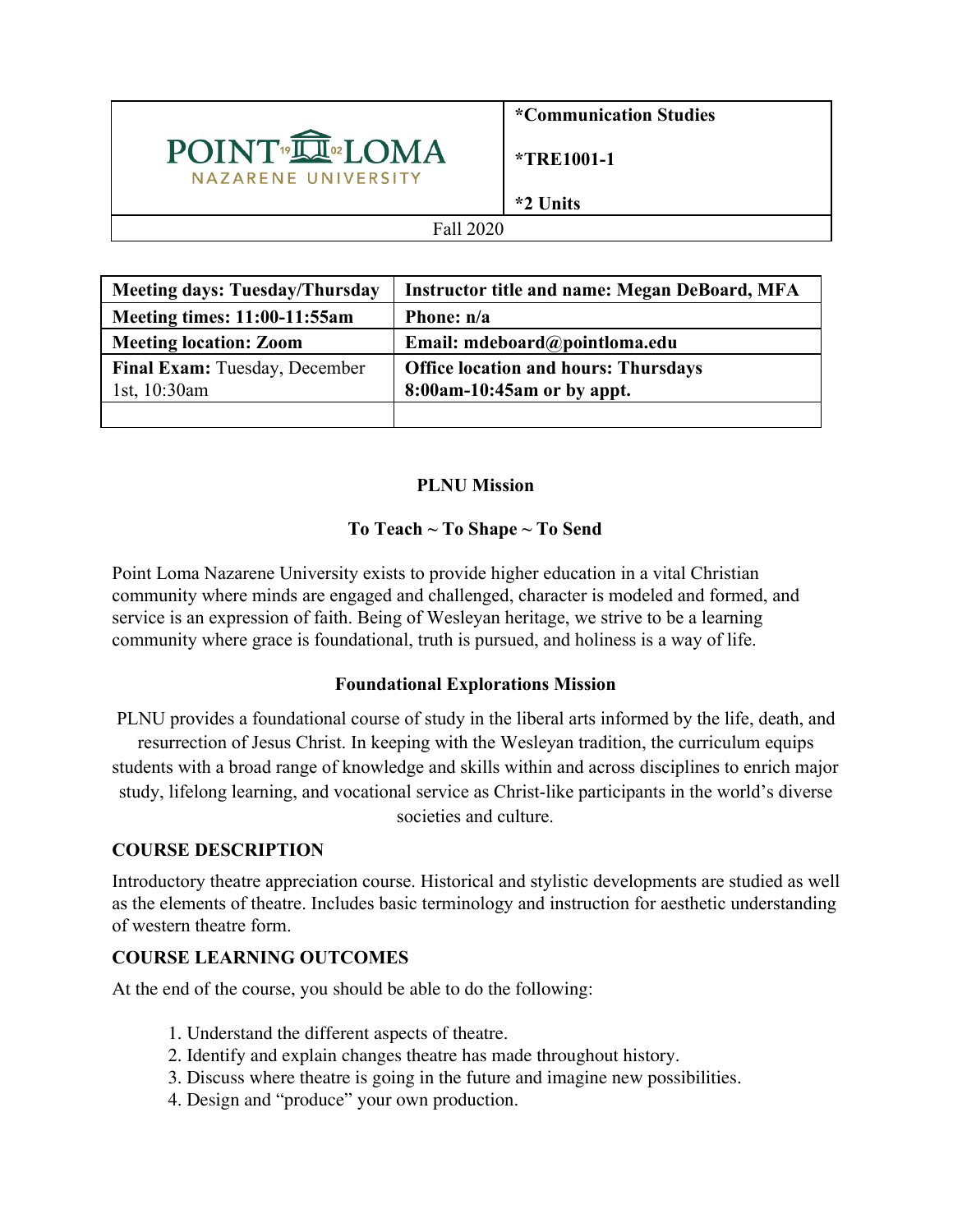

**\*Communication Studies**

**\*TRE1001-1**

**\*2 Units**

#### Fall 2020

| <b>Meeting days: Tuesday/Thursday</b> | <b>Instructor title and name: Megan DeBoard, MFA</b> |
|---------------------------------------|------------------------------------------------------|
| <b>Meeting times: 11:00-11:55am</b>   | Phone: n/a                                           |
| <b>Meeting location: Zoom</b>         | Email: mdeboard@pointloma.edu                        |
| Final Exam: Tuesday, December         | <b>Office location and hours: Thursdays</b>          |
| 1st, $10:30$ am                       | 8:00am-10:45am or by appt.                           |
|                                       |                                                      |

### **PLNU Mission**

# **To Teach ~ To Shape ~ To Send**

Point Loma Nazarene University exists to provide higher education in a vital Christian community where minds are engaged and challenged, character is modeled and formed, and service is an expression of faith. Being of Wesleyan heritage, we strive to be a learning community where grace is foundational, truth is pursued, and holiness is a way of life.

### **Foundational Explorations Mission**

PLNU provides a foundational course of study in the liberal arts informed by the life, death, and resurrection of Jesus Christ. In keeping with the Wesleyan tradition, the curriculum equips students with a broad range of knowledge and skills within and across disciplines to enrich major study, lifelong learning, and vocational service as Christ-like participants in the world's diverse societies and culture.

### **COURSE DESCRIPTION**

Introductory theatre appreciation course. Historical and stylistic developments are studied as well as the elements of theatre. Includes basic terminology and instruction for aesthetic understanding of western theatre form.

# **COURSE LEARNING OUTCOMES**

At the end of the course, you should be able to do the following:

- 1. Understand the different aspects of theatre.
- 2. Identify and explain changes theatre has made throughout history.
- 3. Discuss where theatre is going in the future and imagine new possibilities.
- 4. Design and "produce" your own production.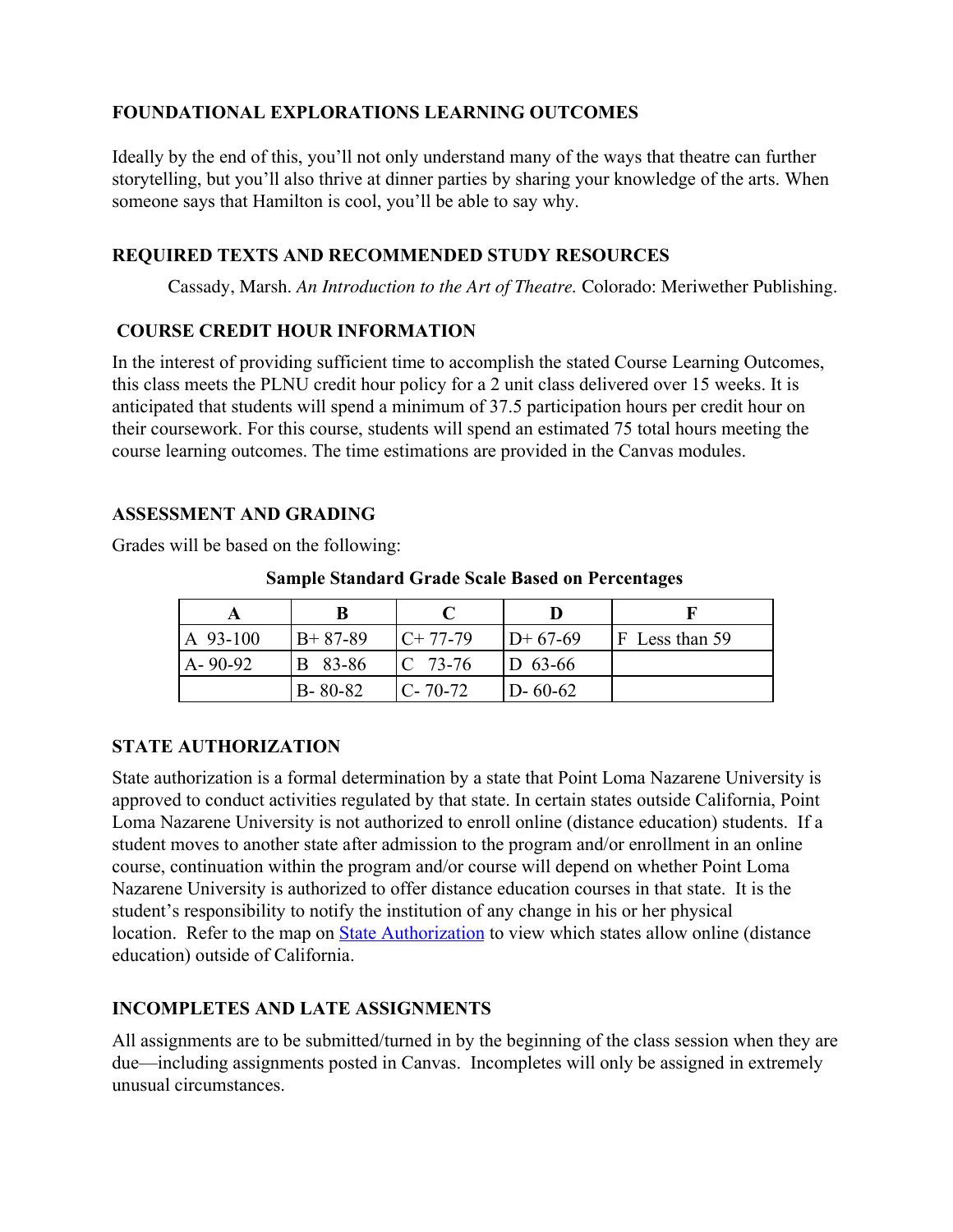# **FOUNDATIONAL EXPLORATIONS LEARNING OUTCOMES**

Ideally by the end of this, you'll not only understand many of the ways that theatre can further storytelling, but you'll also thrive at dinner parties by sharing your knowledge of the arts. When someone says that Hamilton is cool, you'll be able to say why.

### **REQUIRED TEXTS AND RECOMMENDED STUDY RESOURCES**

Cassady, Marsh. *An Introduction to the Art of Theatre.* Colorado: Meriwether Publishing.

### **COURSE CREDIT HOUR INFORMATION**

In the interest of providing sufficient time to accomplish the stated Course Learning Outcomes, this class meets the PLNU credit hour policy for a 2 unit class delivered over 15 weeks. It is anticipated that students will spend a minimum of 37.5 participation hours per credit hour on their coursework. For this course, students will spend an estimated 75 total hours meeting the course learning outcomes. The time estimations are provided in the Canvas modules.

### **ASSESSMENT AND GRADING**

Grades will be based on the following:

| A 93-100 | $B+87-89$     | $C+77-79$          | $D+67-69$     | F Less than 59 |
|----------|---------------|--------------------|---------------|----------------|
| A-90-92  | B 83-86       | $\mathbb{C}$ 73-76 | $D$ 63-66     |                |
|          | $B - 80 - 82$ | $IC-70-72$         | $D - 60 - 62$ |                |

**Sample Standard Grade Scale Based on Percentages**

### **STATE AUTHORIZATION**

State authorization is a formal determination by a state that Point Loma Nazarene University is approved to conduct activities regulated by that state. In certain states outside California, Point Loma Nazarene University is not authorized to enroll online (distance education) students. If a student moves to another state after admission to the program and/or enrollment in an online course, continuation within the program and/or course will depend on whether Point Loma Nazarene University is authorized to offer distance education courses in that state. It is the student's responsibility to notify the institution of any change in his or her physical location. Refer to the map on [State Authorization](https://www.pointloma.edu/offices/office-institutional-effectiveness-research/disclosures) to view which states allow online (distance education) outside of California.

# **INCOMPLETES AND LATE ASSIGNMENTS**

All assignments are to be submitted/turned in by the beginning of the class session when they are due—including assignments posted in Canvas. Incompletes will only be assigned in extremely unusual circumstances.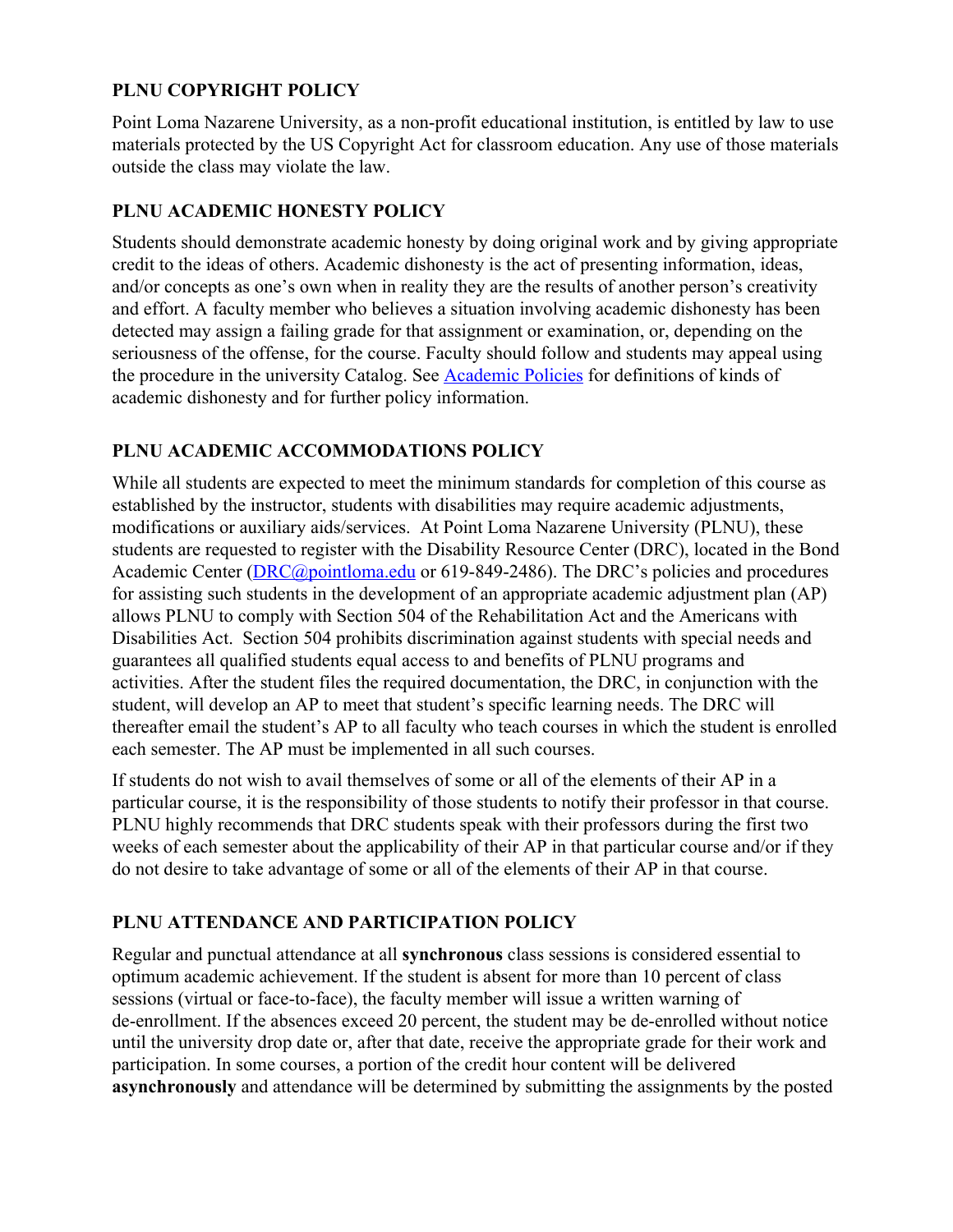# **PLNU COPYRIGHT POLICY**

Point Loma Nazarene University, as a non-profit educational institution, is entitled by law to use materials protected by the US Copyright Act for classroom education. Any use of those materials outside the class may violate the law.

### **PLNU ACADEMIC HONESTY POLICY**

Students should demonstrate academic honesty by doing original work and by giving appropriate credit to the ideas of others. Academic dishonesty is the act of presenting information, ideas, and/or concepts as one's own when in reality they are the results of another person's creativity and effort. A faculty member who believes a situation involving academic dishonesty has been detected may assign a failing grade for that assignment or examination, or, depending on the seriousness of the offense, for the course. Faculty should follow and students may appeal using the procedure in the university Catalog. See [Academic Policies](https://catalog.pointloma.edu/content.php?catoid=41&navoid=2435#Academic_Honesty) for definitions of kinds of academic dishonesty and for further policy information.

### **PLNU ACADEMIC ACCOMMODATIONS POLICY**

While all students are expected to meet the minimum standards for completion of this course as established by the instructor, students with disabilities may require academic adjustments, modifications or auxiliary aids/services. At Point Loma Nazarene University (PLNU), these students are requested to register with the Disability Resource Center (DRC), located in the Bond Academic Center ([DRC@pointloma.edu](mailto:DRC@pointloma.edu) or 619-849-2486). The DRC's policies and procedures for assisting such students in the development of an appropriate academic adjustment plan (AP) allows PLNU to comply with Section 504 of the Rehabilitation Act and the Americans with Disabilities Act. Section 504 prohibits discrimination against students with special needs and guarantees all qualified students equal access to and benefits of PLNU programs and activities. After the student files the required documentation, the DRC, in conjunction with the student, will develop an AP to meet that student's specific learning needs. The DRC will thereafter email the student's AP to all faculty who teach courses in which the student is enrolled each semester. The AP must be implemented in all such courses.

If students do not wish to avail themselves of some or all of the elements of their AP in a particular course, it is the responsibility of those students to notify their professor in that course. PLNU highly recommends that DRC students speak with their professors during the first two weeks of each semester about the applicability of their AP in that particular course and/or if they do not desire to take advantage of some or all of the elements of their AP in that course.

# **PLNU ATTENDANCE AND PARTICIPATION POLICY**

Regular and punctual attendance at all **synchronous** class sessions is considered essential to optimum academic achievement. If the student is absent for more than 10 percent of class sessions (virtual or face-to-face), the faculty member will issue a written warning of de-enrollment. If the absences exceed 20 percent, the student may be de-enrolled without notice until the university drop date or, after that date, receive the appropriate grade for their work and participation. In some courses, a portion of the credit hour content will be delivered **asynchronously** and attendance will be determined by submitting the assignments by the posted